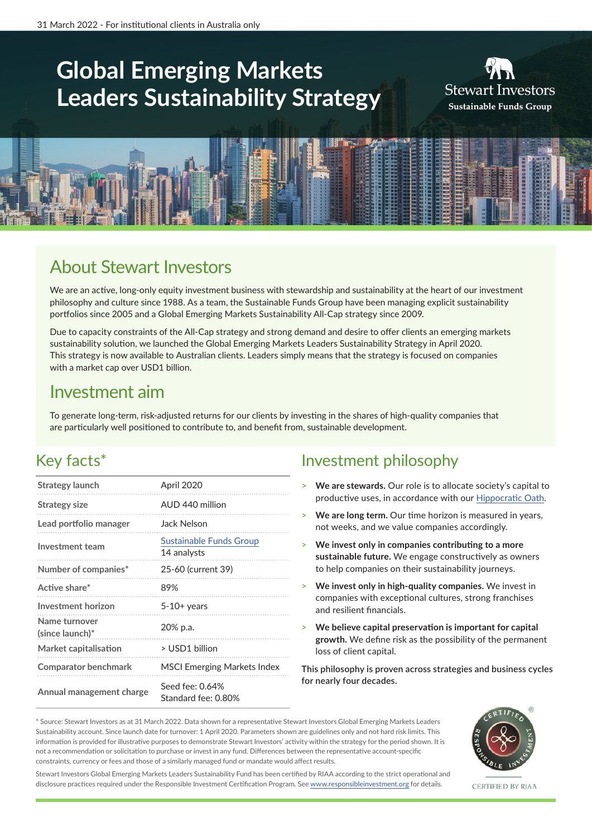# **Global Emerging Markets Leaders Sustainability Strategy**





### About Stewart Investors

We are an active, long-only equity investment business with stewardship and sustainability at the heart of our investment philosophy and culture since 1988. As a team, the Sustainable Funds Group have been managing explicit sustainability portfolios since 2005 and a Global Emerging Markets Sustainability All-Cap strategy since 2009.

Due to capacity constraints of the All-Cap strategy and strong demand and desire to offer clients an emerging markets sustainability solution, we launched the Global Emerging Markets Leaders Sustainability Strategy in April 2020. This strategy is now available to Australian clients. Leaders simply means that the strategy is focused on companies with a market cap over USD1 billion.

### Investment aim

To generate long-term, risk-adjusted returns for our clients by investing in the shares of high-quality companies that are particularly well positioned to contribute to, and benefit from, sustainable development.

### Key facts\*

| Strategy launch                  | April 2020                             |
|----------------------------------|----------------------------------------|
| Strategy size                    | AUD 440 million                        |
| Lead portfolio manager           | Jack Nelson                            |
| <b>Investment team</b>           | Sustainable Funds Group<br>14 analysts |
| Number of companies*             | 25-60 (current 39)                     |
| Active share*                    | 89%                                    |
| <b>Investment horizon</b>        | $5-10+$ years                          |
| Name turnover<br>(since launch)* | 20% p.a.                               |
| Market capitalisation            | > USD1 billion                         |
| <b>Comparator benchmark</b>      | <b>MSCI Emerging Markets Index</b>     |
| Annual management charge         | Seed fee: 0.64%<br>Standard fee: 0.80% |

### Investment philosophy

- > **We are stewards.** Our role is to allocate society's capital to productive uses, in accordance with our [Hippocratic Oath](https://www.stewartinvestors.com/au/en/institutional/sustainable-funds-group/how-we-invest/hippocratic-oath.html).
- > **We are long term.** Our time horizon is measured in years, not weeks, and we value companies accordingly.
- > **We invest only in companies contributing to a more sustainable future.** We engage constructively as owners to help companies on their sustainability journeys.
- > **We invest only in high-quality companies.** We invest in companies with exceptional cultures, strong franchises and resilient financials.
- > **We believe capital preservation is important for capital growth.** We define risk as the possibility of the permanent loss of client capital.

**This philosophy is proven across strategies and business cycles for nearly four decades.**

\* Source: Stewart Investors as at 31 March 2022. Data shown for a representative Stewart Investors Global Emerging Markets Leaders Sustainability account. Since launch date for turnover: 1 April 2020. Parameters shown are guidelines only and not hard risk limits. This information is provided for illustrative purposes to demonstrate Stewart Investors' activity within the strategy for the period shown. It is not a recommendation or solicitation to purchase or invest in any fund. Differences between the representative account-specific constraints, currency or fees and those of a similarly managed fund or mandate would affect results.



CERTIFIED BY RIAA

Stewart Investors Global Emerging Markets Leaders Sustainability Fund has been certified by RIAA according to the strict operational and disclosure practices required under the Responsible Investment Certification Program. See [www.responsibleinvestment.org](http://www.responsibleinvestment.org) for details.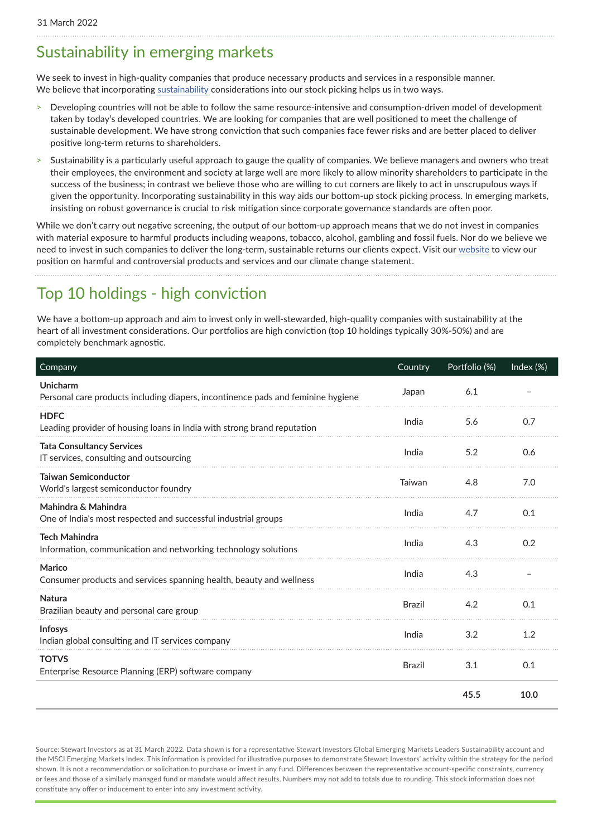#### Sustainability in emerging markets

We seek to invest in high-quality companies that produce necessary products and services in a responsible manner. We believe that incorporating [sustainability](https://www.stewartinvestors.com/au/en/institutional/sustainable-funds-group/how-we-invest/our-approach.html) considerations into our stock picking helps us in two ways.

- > Developing countries will not be able to follow the same resource-intensive and consumption-driven model of development taken by today's developed countries. We are looking for companies that are well positioned to meet the challenge of sustainable development. We have strong conviction that such companies face fewer risks and are better placed to deliver positive long-term returns to shareholders.
- Sustainability is a particularly useful approach to gauge the quality of companies. We believe managers and owners who treat their employees, the environment and society at large well are more likely to allow minority shareholders to participate in the success of the business; in contrast we believe those who are willing to cut corners are likely to act in unscrupulous ways if given the opportunity. Incorporating sustainability in this way aids our bottom-up stock picking process. In emerging markets, insisting on robust governance is crucial to risk mitigation since corporate governance standards are often poor.

While we don't carry out negative screening, the output of our bottom-up approach means that we do not invest in companies with material exposure to harmful products including weapons, tobacco, alcohol, gambling and fossil fuels. Nor do we believe we need to invest in such companies to deliver the long-term, sustainable returns our clients expect. Visit our [website](https://www.stewartinvestors.com/au/en/institutional/sustainable-funds-group/our-policies.html) to view our position on harmful and controversial products and services and our climate change statement.

## Top 10 holdings - high conviction

We have a bottom-up approach and aim to invest only in well-stewarded, high-quality companies with sustainability at the heart of all investment considerations. Our portfolios are high conviction (top 10 holdings typically 30%-50%) and are completely benchmark agnostic.

| Company                                                                                      | Country       | Portfolio (%) | Index (%) |
|----------------------------------------------------------------------------------------------|---------------|---------------|-----------|
| Unicharm<br>Personal care products including diapers, incontinence pads and feminine hygiene | Japan         | 6.1           |           |
| <b>HDFC</b><br>Leading provider of housing loans in India with strong brand reputation       | India         | 5.6           | 0.7       |
| <b>Tata Consultancy Services</b><br>IT services, consulting and outsourcing                  | India         | 5.2           | 0.6       |
| <b>Taiwan Semiconductor</b><br>World's largest semiconductor foundry                         | Taiwan        | 4.8           | 7.0       |
| Mahindra & Mahindra<br>One of India's most respected and successful industrial groups        | India         | 4.7           | 0.1       |
| <b>Tech Mahindra</b><br>Information, communication and networking technology solutions       | India         | 4.3           | 0.2       |
| Marico<br>Consumer products and services spanning health, beauty and wellness                | India         | 4.3           |           |
| <b>Natura</b><br>Brazilian beauty and personal care group                                    | <b>Brazil</b> | 4.2           | 0.1       |
| Infosys<br>Indian global consulting and IT services company                                  | India         | 3.2           | 1.2       |
| <b>TOTVS</b><br>Enterprise Resource Planning (ERP) software company                          | <b>Brazil</b> | 3.1           | 0.1       |
|                                                                                              |               | 45.5          | 10.0      |

Source: Stewart Investors as at 31 March 2022. Data shown is for a representative Stewart Investors Global Emerging Markets Leaders Sustainability account and the MSCI Emerging Markets Index. This information is provided for illustrative purposes to demonstrate Stewart Investors' activity within the strategy for the period shown. It is not a recommendation or solicitation to purchase or invest in any fund. Differences between the representative account-specific constraints, currency or fees and those of a similarly managed fund or mandate would affect results. Numbers may not add to totals due to rounding. This stock information does not constitute any offer or inducement to enter into any investment activity.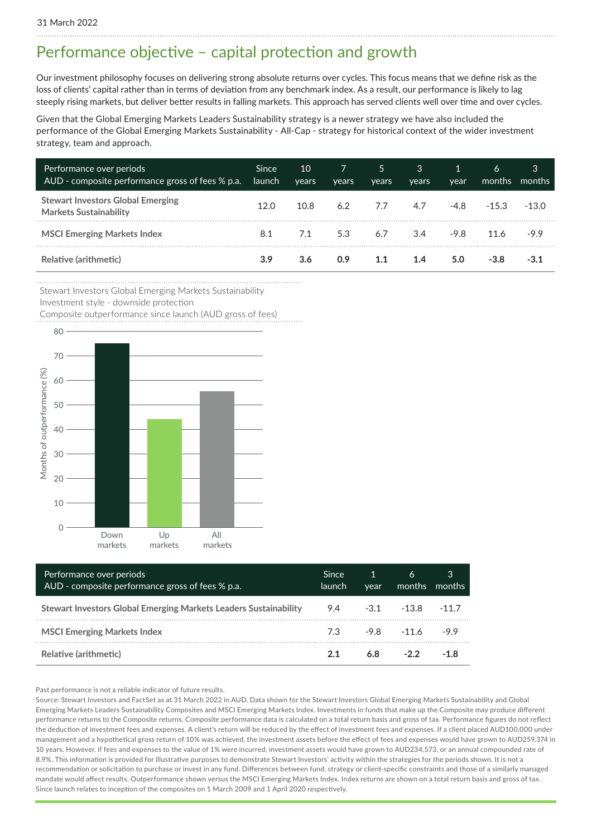### Performance objective – capital protection and growth

Our investment philosophy focuses on delivering strong absolute returns over cycles. This focus means that we define risk as the loss of clients' capital rather than in terms of deviation from any benchmark index. As a result, our performance is likely to lag steeply rising markets, but deliver better results in falling markets. This approach has served clients well over time and over cycles.

Given that the Global Emerging Markets Leaders Sustainability strategy is a newer strategy we have also included the performance of the Global Emerging Markets Sustainability - All-Cap - strategy for historical context of the wider investment strategy, team and approach.

| Performance over periods<br>AUD - composite performance gross of fees % p.a. | Since<br>launch | 10<br>vears | years | 5<br>vears | 3<br>vears | year   | 6<br>months | 3<br>months' |
|------------------------------------------------------------------------------|-----------------|-------------|-------|------------|------------|--------|-------------|--------------|
| <b>Stewart Investors Global Emerging</b><br><b>Markets Sustainability</b>    | 12.0            | 10.8        | 6.2   | 7.7        | 4.7        | -4.8   | $-15.3$     | $-130$       |
| <b>MSCI Emerging Markets Index</b>                                           | 8.1             | 7.1         | 5.3   | 6.7        | 3.4        | $-9.8$ | 11.6        | -9.9         |
| Relative (arithmetic)                                                        | 3.9             | 3.6         | 0.9   | 1.1        | 1.4        | 5.0    | -3.8        |              |

Stewart Investors Global Emerging Markets Sustainability

Investment style - downside protection

Composite outperformance since launch (AUD gross of fees)



| Performance over periods<br>AUD - composite performance gross of fees % p.a. | <b>Since</b><br>llaunch ' | $\overline{1}$<br>vear | 6<br>months months     | 3      |
|------------------------------------------------------------------------------|---------------------------|------------------------|------------------------|--------|
| Stewart Investors Global Emerging Markets Leaders Sustainability             |                           | $9.4 \qquad -3.1$      | -13.8                  | $-117$ |
| <b>MSCI Emerging Markets Index</b>                                           |                           |                        | 7.3 - 9.8 - 11.6 - 9.9 |        |
| Relative (arithmetic)                                                        | 21                        | 6.8                    | $-22$                  | -18    |

#### Past performance is not a reliable indicator of future results.

Source: Stewart Investors and FactSet as at 31 March 2022 in AUD. Data shown for the Stewart Investors Global Emerging Markets Sustainability and Global Emerging Markets Leaders Sustainability Composites and MSCI Emerging Markets Index. Investments in funds that make up the Composite may produce different performance returns to the Composite returns. Composite performance data is calculated on a total return basis and gross of tax. Performance figures do not reflect the deduction of investment fees and expenses. A client's return will be reduced by the effect of investment fees and expenses. If a client placed AUD100,000 under management and a hypothetical gross return of 10% was achieved, the investment assets before the effect of fees and expenses would have grown to AUD259,374 in 10 years. However, if fees and expenses to the value of 1% were incurred, investment assets would have grown to AUD234,573, or an annual compounded rate of 8.9%. This information is provided for illustrative purposes to demonstrate Stewart Investors' activity within the strategies for the periods shown. It is not a recommendation or solicitation to purchase or invest in any fund. Differences between fund, strategy or client-specific constraints and those of a similarly managed mandate would affect results. Outperformance shown versus the MSCI Emerging Markets Index. Index returns are shown on a total return basis and gross of tax. Since launch relates to inception of the composites on 1 March 2009 and 1 April 2020 respectively.